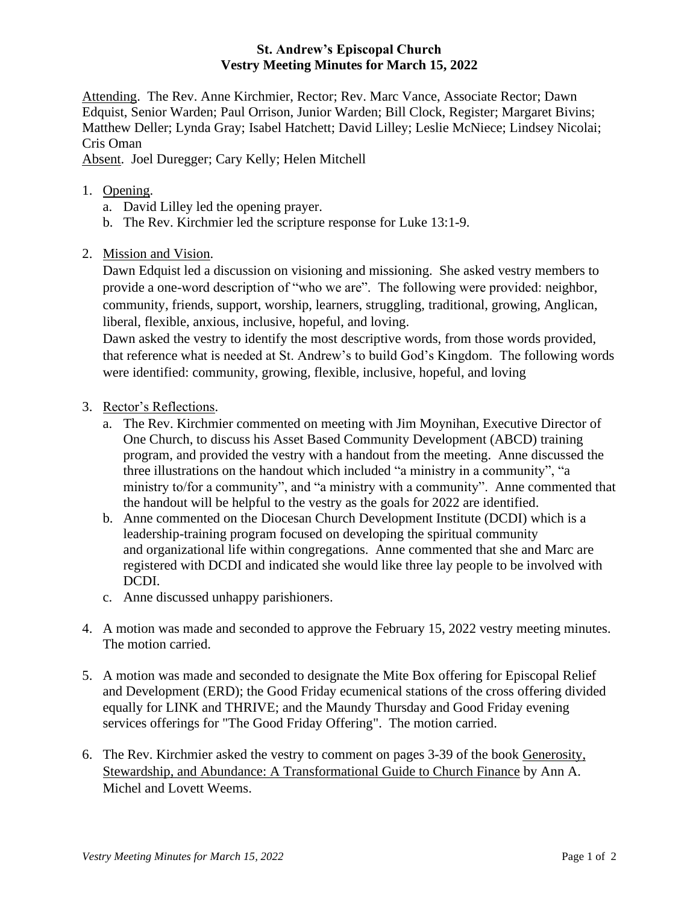## **St. Andrew's Episcopal Church Vestry Meeting Minutes for March 15, 2022**

Attending. The Rev. Anne Kirchmier, Rector; Rev. Marc Vance, Associate Rector; Dawn Edquist, Senior Warden; Paul Orrison, Junior Warden; Bill Clock, Register; Margaret Bivins; Matthew Deller; Lynda Gray; Isabel Hatchett; David Lilley; Leslie McNiece; Lindsey Nicolai; Cris Oman

Absent. Joel Duregger; Cary Kelly; Helen Mitchell

- 1. Opening.
	- a. David Lilley led the opening prayer.
	- b. The Rev. Kirchmier led the scripture response for Luke 13:1-9.
- 2. Mission and Vision.

Dawn Edquist led a discussion on visioning and missioning. She asked vestry members to provide a one-word description of "who we are". The following were provided: neighbor, community, friends, support, worship, learners, struggling, traditional, growing, Anglican, liberal, flexible, anxious, inclusive, hopeful, and loving.

Dawn asked the vestry to identify the most descriptive words, from those words provided, that reference what is needed at St. Andrew's to build God's Kingdom. The following words were identified: community, growing, flexible, inclusive, hopeful, and loving

- 3. Rector's Reflections.
	- a. The Rev. Kirchmier commented on meeting with Jim Moynihan, Executive Director of One Church, to discuss his Asset Based Community Development (ABCD) training program, and provided the vestry with a handout from the meeting. Anne discussed the three illustrations on the handout which included "a ministry in a community", "a ministry to/for a community", and "a ministry with a community". Anne commented that the handout will be helpful to the vestry as the goals for 2022 are identified.
	- b. Anne commented on the Diocesan Church Development Institute (DCDI) which is a leadership-training program focused on developing the spiritual community and organizational life within congregations. Anne commented that she and Marc are registered with DCDI and indicated she would like three lay people to be involved with DCDI.
	- c. Anne discussed unhappy parishioners.
- 4. A motion was made and seconded to approve the February 15, 2022 vestry meeting minutes. The motion carried.
- 5. A motion was made and seconded to designate the Mite Box offering for Episcopal Relief and Development (ERD); the Good Friday ecumenical stations of the cross offering divided equally for LINK and THRIVE; and the Maundy Thursday and Good Friday evening services offerings for "The Good Friday Offering". The motion carried.
- 6. The Rev. Kirchmier asked the vestry to comment on pages 3-39 of the book Generosity, Stewardship, and Abundance: A Transformational Guide to Church Finance by Ann A. Michel and Lovett Weems.